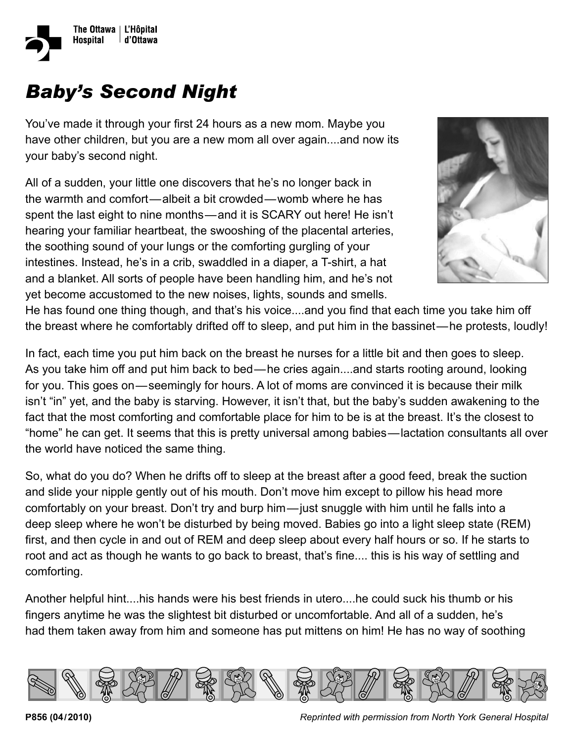

## *Baby's Second Night*

You've made it through your first 24 hours as a new mom. Maybe you have other children, but you are a new mom all over again....and now its your baby's second night.

 the soothing sound of your lungs or the comforting gurgling of your All of a sudden, your little one discovers that he's no longer back in the warmth and comfort—albeit a bit crowded—womb where he has spent the last eight to nine months—and it is SCARY out here! He isn't hearing your familiar heartbeat, the swooshing of the placental arteries, intestines. Instead, he's in a crib, swaddled in a diaper, a T-shirt, a hat and a blanket. All sorts of people have been handling him, and he's not yet become accustomed to the new noises, lights, sounds and smells.



He has found one thing though, and that's his voice....and you find that each time you take him off the breast where he comfortably drifted off to sleep, and put him in the bassinet—he protests, loudly!

In fact, each time you put him back on the breast he nurses for a little bit and then goes to sleep. As you take him off and put him back to bed—he cries again....and starts rooting around, looking for you. This goes on—seemingly for hours. A lot of moms are convinced it is because their milk isn't "in" yet, and the baby is starving. However, it isn't that, but the baby's sudden awakening to the fact that the most comforting and comfortable place for him to be is at the breast. It's the closest to "home" he can get. It seems that this is pretty universal among babies—lactation consultants all over the world have noticed the same thing.

So, what do you do? When he drifts off to sleep at the breast after a good feed, break the suction and slide your nipple gently out of his mouth. Don't move him except to pillow his head more comfortably on your breast. Don't try and burp him—just snuggle with him until he falls into a deep sleep where he won't be disturbed by being moved. Babies go into a light sleep state (REM) first, and then cycle in and out of REM and deep sleep about every half hours or so. If he starts to root and act as though he wants to go back to breast, that's fine.... this is his way of settling and comforting.

Another helpful hint....his hands were his best friends in utero....he could suck his thumb or his fingers anytime he was the slightest bit disturbed or uncomfortable. And all of a sudden, he's had them taken away from him and someone has put mittens on him! He has no way of soothing



**P856 (04/2010)** *Reprinted with permission from North York General Hospital*